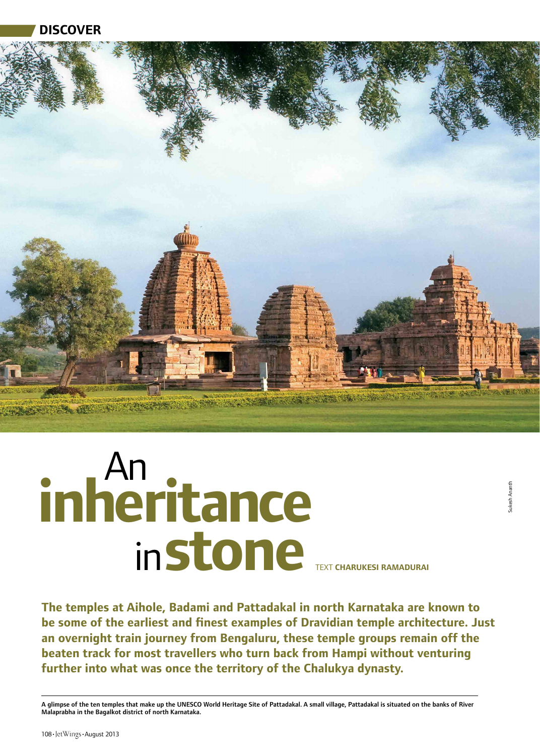**Discover**



# **stone** Text **Charukesi Ramadurai** in inheritance

Sukesh Ananth

sukesh Anant

**The temples at Aihole, Badami and Pattadakal in north Karnataka are known to be some of the earliest and finest examples of Dravidian temple architecture. Just an overnight train journey from Bengaluru, these temple groups remain off the beaten track for most travellers who turn back from Hampi without venturing further into what was once the territory of the Chalukya dynasty.**

A glimpse of the ten temples that make up the UNESCO World Heritage Site of Pattadakal. A small village, Pattadakal is situated on the banks of River Malaprabha in the Bagalkot district of north Karnataka.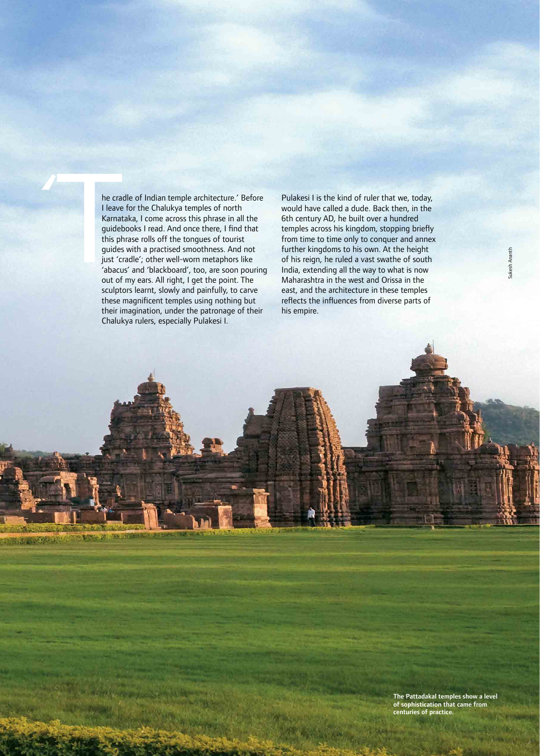France<br>
I Leave<br>
Karnat<br>
guidet<br>
this ph<br>
guides<br>
just 'cu<br>
'abacu<br>
out of he cradle of Indian temple architecture.' Before I leave for the Chalukya temples of north Karnataka, I come across this phrase in all the guidebooks I read. And once there, I find that this phrase rolls off the tongues of tourist guides with a practised smoothness. And not just 'cradle'; other well-worn metaphors like 'abacus' and 'blackboard', too, are soon pouring out of my ears. All right, I get the point. The sculptors learnt, slowly and painfully, to carve these magnificent temples using nothing but their imagination, under the patronage of their Chalukya rulers, especially Pulakesi I.

110•JetWings•August 2013

「ある あるのがいい

Pulakesi I is the kind of ruler that we, today, would have called a dude. Back then, in the 6th century AD, he built over a hundred temples across his kingdom, stopping briefly from time to time only to conquer and annex further kingdoms to his own. At the height of his reign, he ruled a vast swathe of south India, extending all the way to what is now Maharashtra in the west and Orissa in the east, and the architecture in these temples reflects the influences from diverse parts of his empire.

> The Pattadakal temples show a level of sophistication that came from centuries of practice.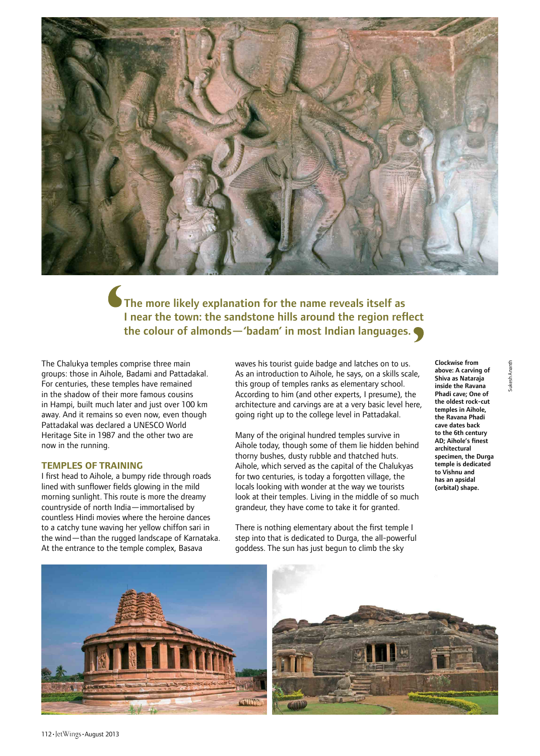

The more likely explanation for the name reveals itself as I near the town: the sandstone hills around the region reflect the colour of almonds—'badam' in most Indian languages.

The Chalukya temples comprise three main groups: those in Aihole, Badami and Pattadakal. For centuries, these temples have remained in the shadow of their more famous cousins in Hampi, built much later and just over 100 km away. And it remains so even now, even though Pattadakal was declared a UNESCO World Heritage Site in 1987 and the other two are now in the running.

#### **TEMPLES OF TRAINING**

I first head to Aihole, a bumpy ride through roads lined with sunflower fields glowing in the mild morning sunlight. This route is more the dreamy countryside of north India—immortalised by countless Hindi movies where the heroine dances to a catchy tune waving her yellow chiffon sari in the wind—than the rugged landscape of Karnataka. At the entrance to the temple complex, Basava

waves his tourist guide badge and latches on to us. As an introduction to Aihole, he says, on a skills scale, this group of temples ranks as elementary school. According to him (and other experts, I presume), the architecture and carvings are at a very basic level here, going right up to the college level in Pattadakal.

Many of the original hundred temples survive in Aihole today, though some of them lie hidden behind thorny bushes, dusty rubble and thatched huts. Aihole, which served as the capital of the Chalukyas for two centuries, is today a forgotten village, the locals looking with wonder at the way we tourists look at their temples. Living in the middle of so much grandeur, they have come to take it for granted.

There is nothing elementary about the first temple I step into that is dedicated to Durga, the all-powerful goddess. The sun has just begun to climb the sky

Clockwise from above: A carving of Shiva as Nataraja inside the Ravana Phadi cave; One of the oldest rock-cut temples in Aihole, the Ravana Phadi cave dates back to the 6th century AD; Aihole's finest architectural specimen, the Durga temple is dedicated to Vishnu and has an apsidal (orbital) shape.



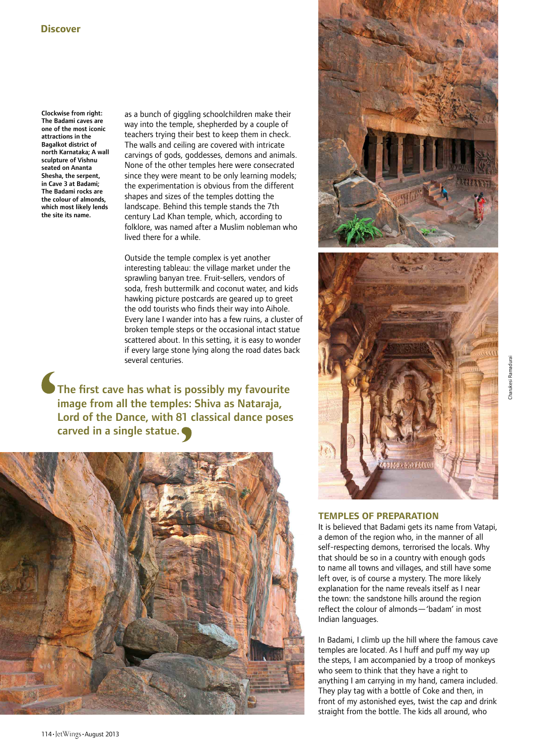Clockwise from right: The Badami caves are one of the most iconic attractions in the Bagalkot district of north Karnataka; A wall sculpture of Vishnu seated on Ananta Shesha, the serpent, in Cave 3 at Badami; The Badami rocks are the colour of almonds, which most likely lends the site its name.

as a bunch of giggling schoolchildren make their way into the temple, shepherded by a couple of teachers trying their best to keep them in check. The walls and ceiling are covered with intricate carvings of gods, goddesses, demons and animals. None of the other temples here were consecrated since they were meant to be only learning models; the experimentation is obvious from the different shapes and sizes of the temples dotting the landscape. Behind this temple stands the 7th century Lad Khan temple, which, according to folklore, was named after a Muslim nobleman who lived there for a while.

Outside the temple complex is yet another interesting tableau: the village market under the sprawling banyan tree. Fruit-sellers, vendors of soda, fresh buttermilk and coconut water, and kids hawking picture postcards are geared up to greet the odd tourists who finds their way into Aihole. Every lane I wander into has a few ruins, a cluster of broken temple steps or the occasional intact statue scattered about. In this setting, it is easy to wonder if every large stone lying along the road dates back several centuries.

The first cave has what is possibly my favourite image from all the temples: Shiva as Nataraja, Lord of the Dance, with 81 classical dance poses carved in a single statue.







# **TEMPLES OF PREPARATION**

It is believed that Badami gets its name from Vatapi, a demon of the region who, in the manner of all self-respecting demons, terrorised the locals. Why that should be so in a country with enough gods to name all towns and villages, and still have some left over, is of course a mystery. The more likely explanation for the name reveals itself as I near the town: the sandstone hills around the region reflect the colour of almonds—'badam' in most Indian languages.

In Badami, I climb up the hill where the famous cave temples are located. As I huff and puff my way up the steps, I am accompanied by a troop of monkeys who seem to think that they have a right to anything I am carrying in my hand, camera included. They play tag with a bottle of Coke and then, in front of my astonished eyes, twist the cap and drink straight from the bottle. The kids all around, who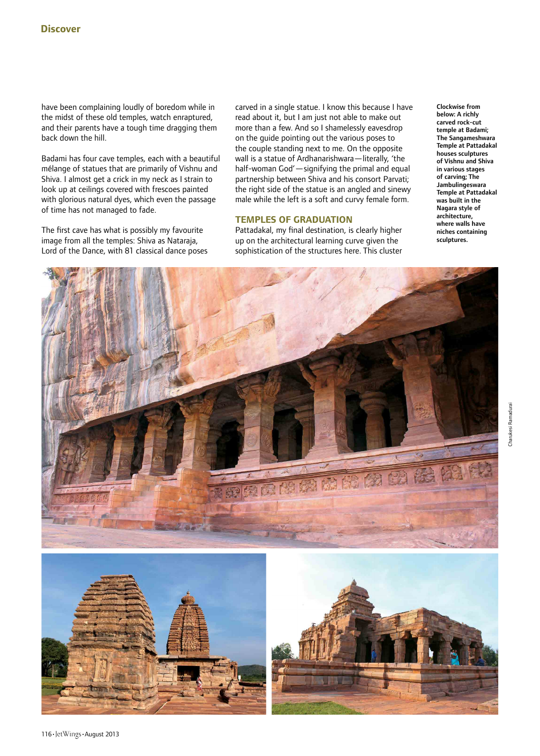have been complaining loudly of boredom while in the midst of these old temples, watch enraptured, and their parents have a tough time dragging them back down the hill.

Badami has four cave temples, each with a beautiful mélange of statues that are primarily of Vishnu and Shiva. I almost get a crick in my neck as I strain to look up at ceilings covered with frescoes painted with glorious natural dyes, which even the passage of time has not managed to fade.

The first cave has what is possibly my favourite image from all the temples: Shiva as Nataraja, Lord of the Dance, with 81 classical dance poses carved in a single statue. I know this because I have read about it, but I am just not able to make out more than a few. And so I shamelessly eavesdrop on the guide pointing out the various poses to the couple standing next to me. On the opposite wall is a statue of Ardhanarishwara—literally, 'the half-woman God'—signifying the primal and equal partnership between Shiva and his consort Parvati; the right side of the statue is an angled and sinewy male while the left is a soft and curvy female form.

# **TEMPLES OF GRADUATION**

Pattadakal, my final destination, is clearly higher up on the architectural learning curve given the sophistication of the structures here. This cluster

Clockwise from below: A richly carved rock-cut temple at Badami; The Sangameshwara Temple at Pattadakal houses sculptures of Vishnu and Shiva in various stages of carving; The Jambulingeswara Temple at Pattadakal was built in the Nagara style of architecture, where walls have niches containing sculptures.